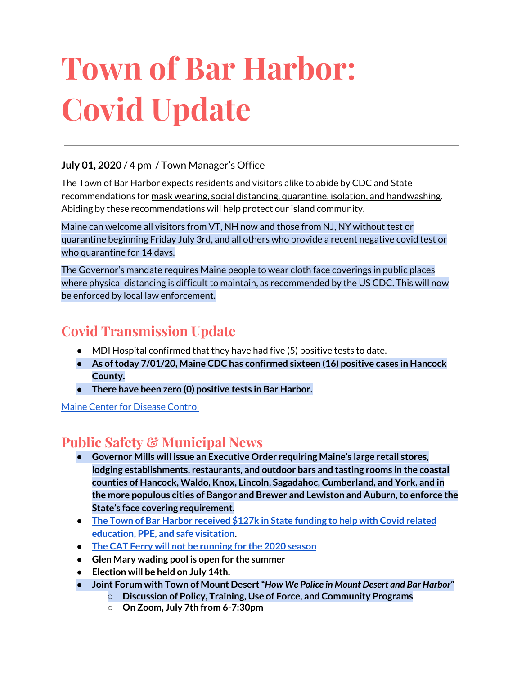# **Town of Bar Harbor: Covid Update**

### **July 01, 2020** / 4 pm / Town Manager's Office

The Town of Bar Harbor expects residents and visitors alike to abide by CDC and State recommendations for mask wearing, social distancing, quarantine, isolation, and handwashing. Abiding by these recommendations will help protect our island community.

Maine can welcome all visitors from VT, NH now and those from NJ, NY without test or quarantine beginning Friday July 3rd, and all others who provide a recent negative covid test or who quarantine for 14 days.

The Governor's mandate requires Maine people to wear cloth face coverings in public places where physical distancing is difficult to maintain, as recommended by the US CDC. This will now be enforced by local law enforcement.

## **Covid Transmission Update**

- MDI Hospital confirmed that they have had five (5) positive tests to date.
- **● As oftoday 7/01/20, Maine CDC has confirmed sixteen (16) positive cases in Hancock County.**
- **● There have been zero (0) positive tests in Bar Harbor.**

Maine Center for [Disease](https://www.maine.gov/dhhs/mecdc/infectious-disease/epi/airborne/coronavirus.shtml) Control

## **Public Safety & Municipal News**

- **● Governor Mills will issue an Executive Order requiring Maine's large retail stores, lodging establishments, restaurants, and outdoor bars and tasting rooms in the coastal counties of Hancock, Waldo, Knox, Lincoln, Sagadahoc, Cumberland, and York, and in the more populous cities of Bangor and Brewer and Lewiston and Auburn,to enforce the State's face covering requirement.**
- **● The Town of Bar Harbor [received](https://www.maine.gov/governor/mills/news/mills-administration-approves-covid-19-prevention-and-protection-grant-awards-municipalities) \$127k in State funding to help with Covid related [education,](https://www.maine.gov/governor/mills/news/mills-administration-approves-covid-19-prevention-and-protection-grant-awards-municipalities) PPE, and safe visitation.**
- **● The CAT Ferry will not be [running](https://www.ferries.ca/) for the 2020 season**
- **● Glen Mary wading pool is open for the summer**
- **● Election will be held on July 14th.**
- **● Joint Forum with Town of Mount Desert"***How We Police in Mount Desert and Bar Harbor***"**
	- **○ Discussion of Policy, Training, Use of Force, and Community Programs**
	- **○ On Zoom, July 7th from 6-7:30pm**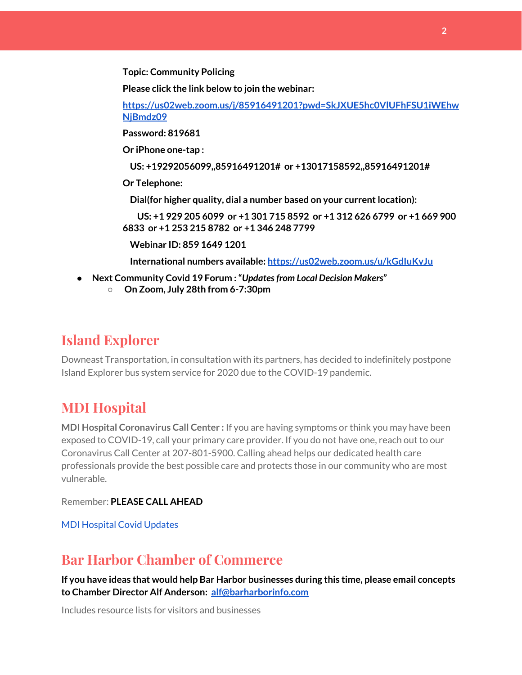**Topic: Community Policing**

**Please click the link below to join the webinar:**

**[https://us02web.zoom.us/j/85916491201?pwd=SkJXUE5hc0VlUFhFSU1iWEhw](https://us02web.zoom.us/j/85916491201?pwd=SkJXUE5hc0VlUFhFSU1iWEhwNjBmdz09) [NjBmdz09](https://us02web.zoom.us/j/85916491201?pwd=SkJXUE5hc0VlUFhFSU1iWEhwNjBmdz09)**

**Password: 819681**

**Or iPhone one-tap :**

**US: +19292056099,,85916491201# or +13017158592,,85916491201#**

**Or Telephone:**

**Dial(for higher quality, dial a number based on your currentlocation):**

**US: +1 929 205 6099 or +1 301 715 8592 or +1 312 626 6799 or +1 669 900 6833 or +1 253 215 8782 or +1 346 248 7799**

**Webinar ID: 859 1649 1201**

**International numbers available: <https://us02web.zoom.us/u/kGdIuKvJu>**

- **● Next Community Covid 19 Forum :"***Updatesfrom Local Decision Makers***"**
	- **○ On Zoom, July 28th from 6-7:30pm**

## **Island Explorer**

Downeast Transportation, in consultation with its partners, has decided to indefinitely postpone Island Explorer bus system service for 2020 due to the COVID-19 pandemic.

## **MDI Hospital**

**MDI Hospital Coronavirus Call Center :** If you are having symptoms or think you may have been exposed to COVID-19, call your primary care provider. If you do not have one, reach out to our Coronavirus Call Center at 207-801-5900. Calling ahead helps our dedicated health care professionals provide the best possible care and protects those in our community who are most vulnerable.

Remember: **PLEASE CALL AHEAD**

MDI [Hospital](https://www.mdihospital.org/covid-19/?fbclid=IwAR2Q31t4a6H1pxDfUeqSzFcmp5UbRlSwe93i58zEkHstfexp5EgoHB5cxGU) Covid Updates

## **Bar Harbor Chamber of Commerce**

**If you have ideas that would help Bar Harbor businesses during this time, please email concepts to Chamber Director Alf Anderson: [alf@barharborinfo.com](mailto:alf@barharborinfo.com)**

Includes resource lists for visitors and businesses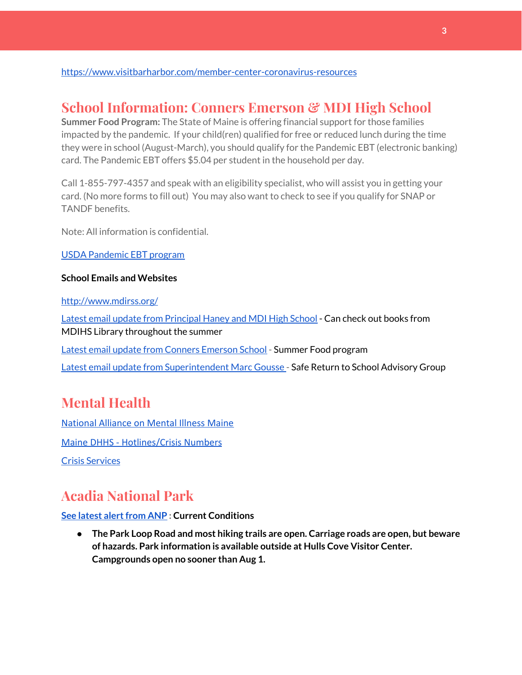#### <https://www.visitbarharbor.com/member-center-coronavirus-resources>

## **School Information: Conners Emerson & MDI High School**

**Summer Food Program:** The State of Maine is offering financial support for those families impacted by the pandemic. If your child(ren) qualified for free or reduced lunch during the time they were in school (August-March), you should qualify for the Pandemic EBT (electronic banking) card. The Pandemic EBT offers \$5.04 per student in the household per day.

Call 1-855-797-4357 and speak with an eligibility specialist, who will assist you in getting your card. (No more forms to fill out) You may also want to check to see if you qualify for SNAP or TANDF benefits.

Note: All information is confidential.

#### USDA [Pandemic](http://track.spe.schoolmessenger.com/f/a/j6GQx4nFl3Rld4Q68tYCuA~~/AAAAAQA~/RgRgu5_JP0SlaHR0cHM6Ly9tYWlsLmdvb2dsZS5jb20vbWFpbC91LzAvP3RhYj1jbSNzZWFyY2gvZnJvbSUzQStiZWVzbGV5L1doY3RLSlZyQ0NUS1JmUldCTFdkUVpGZ2pUVlhNdkRwUVpIa2NoRkJCc3NGcHJxZEtnWFF3S05Tamt3R1RxTFpaS21wTkRHP3Byb2plY3Rvcj0xJm1lc3NhZ2VQYXJ0SWQ9MC4xVwdzY2hvb2xtQgoARkls2l72Ls-jUhhiYXJoYXJib3JqZXdlbEBnbWFpbC5jb21YBAAAAAE~) EBT program

#### **School Emails and Websites**

<http://www.mdirss.org/>

Latest email update from [Principal](https://docs.google.com/document/d/1OKDsYNtOgV0FI9xAcXwQvenOKLV0S2vBg1o5jtu5CrE/edit?usp=sharing) Haney and MDI High School - Can check out books from MDIHS Library throughout the summer

Latest email update from Conners [Emerson](https://docs.google.com/document/d/1v3pgkG6Q-9S3gisuUIj4etPVDwgBKl4P00JBkvZr-kk/edit?usp=sharing) School - Summer Food program

Latest email update from [Superintendent](https://docs.google.com/document/d/1fzeCbc8gpTSKmUaDoQH1Avx5PVl-h0reFphXrT1eUNA/edit?usp=sharing) Marc Gousse - Safe Return to School Advisory Group

## **Mental Health**

[National Alliance on Mental Illness Maine](https://www.namimaine.org/) [Maine DHHS - Hotlines/Crisis Numbers](https://www.maine.gov/dhhs/hotlines.shtml) Crisis [Services](https://www.sweetser.org/programs-services/services-for-adults/crisis-services/)

## **Acadia National Park**

#### **See latest [alertfrom](https://www.nps.gov/acad/planyourvisit/conditions.htm) ANP : Current Conditions**

**● The Park Loop Road and most hiking trails are open. Carriage roads are open, but beware of hazards. Park information is available outside at Hulls Cove Visitor Center. Campgrounds open no sooner than Aug 1.**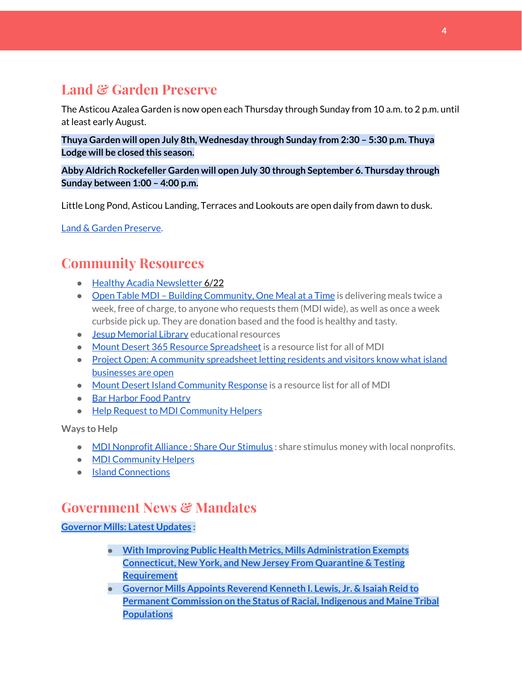## **Land & Garden Preserve**

The Asticou Azalea Garden is now open each Thursday through Sunday from 10 a.m. to 2 p.m. until at least early August.

**Thuya Garden will open July 8th, Wednesday through Sunday from 2:30 – 5:30 p.m. Thuya Lodge will be closed this season.**

**Abby Aldrich Rockefeller Garden will open July 30 through September 6. Thursday through Sunday between 1:00 – 4:00 p.m.**

Little Long Pond, Asticou Landing, Terraces and Lookouts are open daily from dawn to dusk.

Land & Garden [Preserve.](https://www.gardenpreserve.org/)

## **Community Resources**

- Healthy Acadia [Newsletter](https://mailchi.mp/healthyacadia.org/june15_2020) 6/22
- Open Table MDI Building [Community,](https://www.opentablemdi.org/) One Meal at a Time is delivering meals twice a week, free of charge, to anyone who requests them (MDI wide), as well as once a week curbside pick up. They are donation based and the food is healthy and tasty.
- Jesup [Memorial](https://jesuplibrary.org/) Library educational resources
- Mount Desert 365 Resource [Spreadsheet](https://docs.google.com/spreadsheets/d/1okAx6HSsgXZY9CGH07Dzi6rqe7a6m4dLCPKot2Li7Ek/edit?usp=sharing) is a resource list for all of MDI
- Project Open: A community [spreadsheet](https://docs.google.com/spreadsheets/d/1dBicBiBXGzzWEFd9oqL7EBDbFWjDCPl6SSMea_Kt4pc/htmlview#) letting residents and visitors know what island [businesses](https://docs.google.com/spreadsheets/d/1dBicBiBXGzzWEFd9oqL7EBDbFWjDCPl6SSMea_Kt4pc/htmlview#) are open
- Mount Desert Island [Community](https://www.mdicr.org/) Response is a resource list for all of MDI
- Bar [Harbor](https://www.barharborfoodpantry.org/) Food Pantry
- Help Request to MDI [Community](https://docs.google.com/forms/d/e/1FAIpQLSeZfu0tCcthHc9oL7tPomVRdniYiE7nbT_kkK9iCSRgqDhOvQ/viewform) Helpers

**Ways to Help**

- MDI [Nonprofit](https://sites.google.com/mdina.org/public/sos-mdi?authuser=0) Alliance : Share Our Stimulus : share stimulus money with local nonprofits.
- **MDI [Community](https://docs.google.com/forms/d/e/1FAIpQLSe_CJUFdVvwJkmymWRqUeK8bx3m7n4uSOuUPYHqXSAyH2DBoQ/viewform?fbclid=IwAR25hjnWGhnMP0lOWMcBPRBumhtQCJGZO4hlk-T-VjNGZljL1kVX5pWrL6U) Helpers**
- Island [Connections](http://islconnections.org/contact-us/)

## **Government News & Mandates**

**[Governor](https://www.maine.gov/governor/mills/) Mills: Latest Updates :**

- **● With Improving Public Health Metrics, Mills [Administration](https://www.maine.gov/governor/mills/news/improving-public-health-metrics-mills-administration-exempts-connecticut-new-york-and-new) Exempts [Connecticut,](https://www.maine.gov/governor/mills/news/improving-public-health-metrics-mills-administration-exempts-connecticut-new-york-and-new) New York, and New Jersey From Quarantine & Testing [Requirement](https://www.maine.gov/governor/mills/news/improving-public-health-metrics-mills-administration-exempts-connecticut-new-york-and-new)**
- **● Governor Mills Appoints [Reverend](https://www.maine.gov/governor/mills/news/governor-mills-appoints-reverend-kenneth-i-lewis-jr-isaiah-reid-permanent-commission-status) Kenneth I. Lewis, Jr. & Isaiah Reid to Permanent [Commission](https://www.maine.gov/governor/mills/news/governor-mills-appoints-reverend-kenneth-i-lewis-jr-isaiah-reid-permanent-commission-status) on the Status of Racial, Indigenous and Maine Tribal [Populations](https://www.maine.gov/governor/mills/news/governor-mills-appoints-reverend-kenneth-i-lewis-jr-isaiah-reid-permanent-commission-status)**